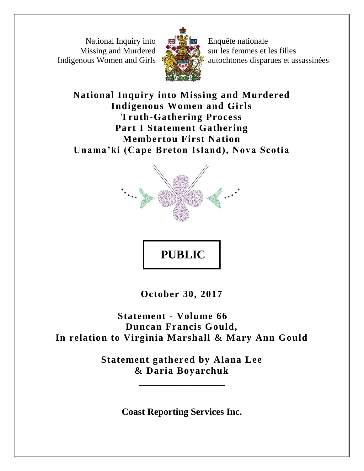National Inquiry into Missing and Murdered Indigenous Women and Girls



Enquête nationale sur les femmes et les filles autochtones disparues et assassinées

# **National Inquiry into Missing and Murdered Indigenous Women and Girls Truth-Gathering Process Part I Statement Gathering Membertou First Nation Unama'ki (Cape Breton Island), Nova Scotia**



# **PUBLIC**

**October 30, 2017**

**Statement - Volume 66 Duncan Francis Gould, In relation to Virginia Marshall & Mary Ann Gould**

> **Statement gathered by Alana Lee & Daria Boyarchuk**

> > **\_\_\_\_\_\_\_\_\_\_\_\_\_\_\_\_\_\_**

**Coast Reporting Services Inc.**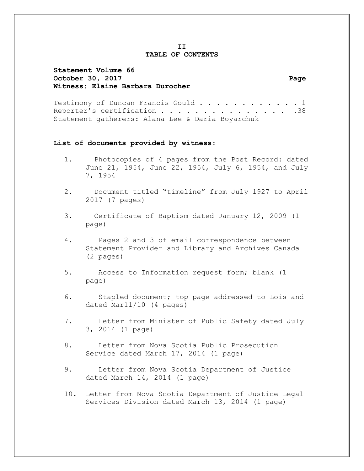### **II TABLE OF CONTENTS**

## **Statement Volume 66** October 30, 2017 **Page Witness: Elaine Barbara Durocher**

Testimony of Duncan Francis Gould . . . . . . . . . . . 1 Reporter's certification . . . . . . . . . . . . . . . 38 Statement gatherers: Alana Lee & Daria Boyarchuk

### **List of documents provided by witness:**

- 1. Photocopies of 4 pages from the Post Record: dated June 21, 1954, June 22, 1954, July 6, 1954, and July 7, 1954
- 2. Document titled "timeline" from July 1927 to April 2017 (7 pages)
- 3. Certificate of Baptism dated January 12, 2009 (1 page)
- 4. Pages 2 and 3 of email correspondence between Statement Provider and Library and Archives Canada (2 pages)
- 5. Access to Information request form; blank (1 page)
- 6. Stapled document; top page addressed to Lois and dated Mar11/10 (4 pages)
- 7. Letter from Minister of Public Safety dated July 3, 2014 (1 page)
- 8. Letter from Nova Scotia Public Prosecution Service dated March 17, 2014 (1 page)
- 9. Letter from Nova Scotia Department of Justice dated March 14, 2014 (1 page)
- 10. Letter from Nova Scotia Department of Justice Legal Services Division dated March 13, 2014 (1 page)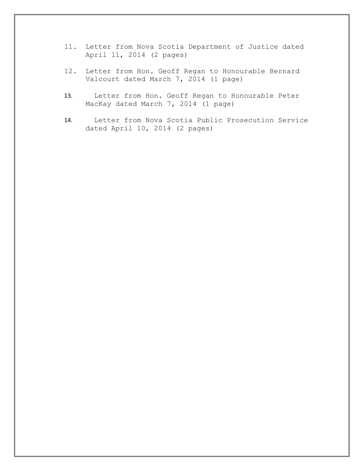- 11. Letter from Nova Scotia Department of Justice dated April 11, 2014 (2 pages)
- 12. Letter from Hon. Geoff Regan to Honourable Bernard Valcourt dated March 7, 2014 (1 page)
- 13. Letter from Hon. Geoff Regan to Honourable Peter MacKay dated March 7, 2014 (1 page)
- 14. Letter from Nova Scotia Public Prosecution Service dated April 10, 2014 (2 pages)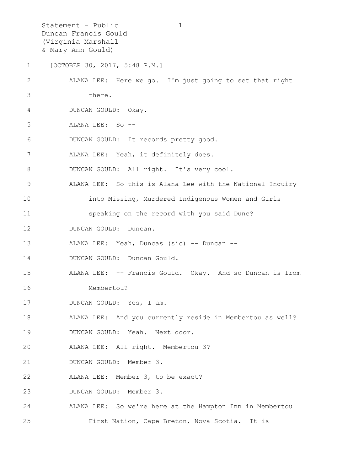Statement – Public 1 Duncan Francis Gould (Virginia Marshall & Mary Ann Gould) 1 [OCTOBER 30, 2017, 5:48 P.M.] 2 ALANA LEE: Here we go. I'm just going to set that right 3 there. 4 DUNCAN GOULD: Okay. 5 ALANA LEE: So -- 6 DUNCAN GOULD: It records pretty good. 7 ALANA LEE: Yeah, it definitely does. 8 DUNCAN GOULD: All right. It's very cool. 9 ALANA LEE: So this is Alana Lee with the National Inquiry 10 into Missing, Murdered Indigenous Women and Girls 11 speaking on the record with you said Dunc? 12 DUNCAN GOULD: Duncan. 13 ALANA LEE: Yeah, Duncas (sic) -- Duncan -- 14 DUNCAN GOULD: Duncan Gould. 15 ALANA LEE: -- Francis Gould. Okay. And so Duncan is from 16 Membertou? 17 DUNCAN GOULD: Yes, I am. 18 ALANA LEE: And you currently reside in Membertou as well? 19 DUNCAN GOULD: Yeah. Next door. 20 ALANA LEE: All right. Membertou 3? 21 DUNCAN GOULD: Member 3. 22 ALANA LEE: Member 3, to be exact? 23 DUNCAN GOULD: Member 3. 24 ALANA LEE: So we're here at the Hampton Inn in Membertou 25 First Nation, Cape Breton, Nova Scotia. It is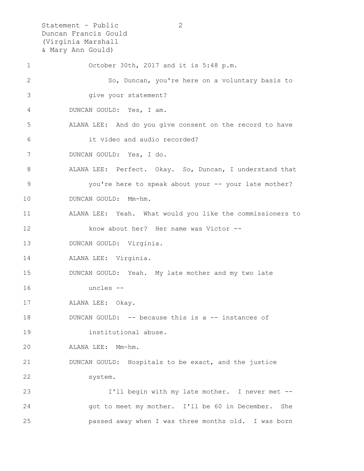Statement – Public 2 Duncan Francis Gould (Virginia Marshall & Mary Ann Gould) 1 October 30th, 2017 and it is 5:48 p.m. 2 So, Duncan, you're here on a voluntary basis to 3 give your statement? 4 DUNCAN GOULD: Yes, I am. 5 ALANA LEE: And do you give consent on the record to have 6 it video and audio recorded? 7 DUNCAN GOULD: Yes, I do. 8 ALANA LEE: Perfect. Okay. So, Duncan, I understand that 9 you're here to speak about your -- your late mother? 10 DUNCAN GOULD: Mm-hm. 11 ALANA LEE: Yeah. What would you like the commissioners to 12 know about her? Her name was Victor -- 13 DUNCAN GOULD: Virginia. 14 ALANA LEE: Virginia. 15 DUNCAN GOULD: Yeah. My late mother and my two late 16 uncles -- 17 ALANA LEE: Okay. 18 DUNCAN GOULD: -- because this is a -- instances of 19 institutional abuse. 20 ALANA LEE: Mm-hm. 21 DUNCAN GOULD: Hospitals to be exact, and the justice 22 system. 23 I'll begin with my late mother. I never met -- 24 got to meet my mother. I'll be 60 in December. She 25 passed away when I was three months old. I was born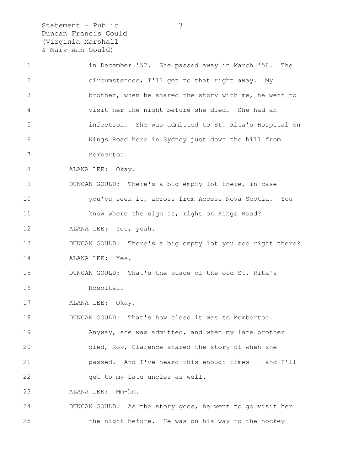Statement – Public 3 Duncan Francis Gould (Virginia Marshall & Mary Ann Gould)

1 in December '57. She passed away in March '58. The 2 circumstances, I'll get to that right away. My 3 brother, when he shared the story with me, he went to 4 visit her the night before she died. She had an 5 infection. She was admitted to St. Rita's Hospital on 6 Kings Road here in Sydney just down the hill from 7 Membertou. 8 ALANA LEE: Okay. 9 DUNCAN GOULD: There's a big empty lot there, in case 10 you've seen it, across from Access Nova Scotia. You 11 know where the sign is, right on Kings Road? 12 ALANA LEE: Yes, yeah. 13 DUNCAN GOULD: There's a big empty lot you see right there? 14 ALANA LEE: Yes. 15 DUNCAN GOULD: That's the place of the old St. Rita's 16 Hospital. 17 ALANA LEE: Okay. 18 DUNCAN GOULD: That's how close it was to Membertou. 19 Anyway, she was admitted, and when my late brother 20 died, Roy, Clarence shared the story of when she 21 passed. And I've heard this enough times -- and I'll 22 get to my late uncles as well. 23 ALANA LEE: Mm-hm. 24 DUNCAN GOULD: As the story goes, he went to go visit her 25 the night before. He was on his way to the hockey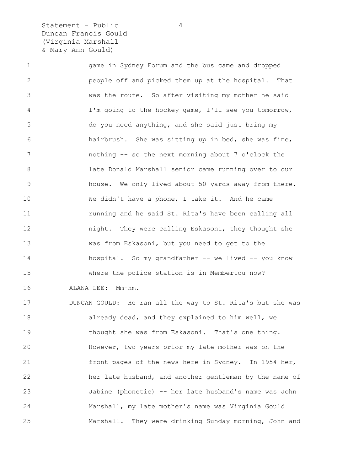Statement - Public 4 Duncan Francis Gould (Virginia Marshall & Mary Ann Gould)

1 game in Sydney Forum and the bus came and dropped 2 people off and picked them up at the hospital. That 3 was the route. So after visiting my mother he said 4 I'm going to the hockey game, I'll see you tomorrow, 5 do you need anything, and she said just bring my 6 hairbrush. She was sitting up in bed, she was fine, 7 nothing -- so the next morning about 7 o'clock the 8 late Donald Marshall senior came running over to our 9 house. We only lived about 50 yards away from there. 10 We didn't have a phone, I take it. And he came 11 **11** running and he said St. Rita's have been calling all 12 night. They were calling Eskasoni, they thought she 13 was from Eskasoni, but you need to get to the 14 hospital. So my grandfather -- we lived -- you know 15 where the police station is in Membertou now? 16 ALANA LEE: Mm-hm. 17 DUNCAN GOULD: He ran all the way to St. Rita's but she was 18 already dead, and they explained to him well, we 19 thought she was from Eskasoni. That's one thing. 20 However, two years prior my late mother was on the 21 front pages of the news here in Sydney. In 1954 her, 22 her late husband, and another gentleman by the name of 23 Jabine (phonetic) -- her late husband's name was John 24 Marshall, my late mother's name was Virginia Gould 25 Marshall. They were drinking Sunday morning, John and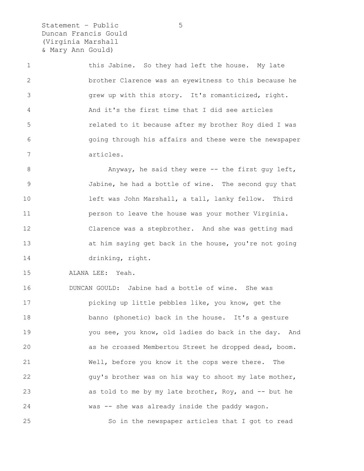Statement – Public 5 Duncan Francis Gould (Virginia Marshall & Mary Ann Gould)

1 this Jabine. So they had left the house. My late 2 brother Clarence was an eyewitness to this because he 3 grew up with this story. It's romanticized, right. 4 And it's the first time that I did see articles 5 related to it because after my brother Roy died I was 6 going through his affairs and these were the newspaper 7 articles.

8 Anyway, he said they were -- the first guy left, 9 Jabine, he had a bottle of wine. The second guy that 10 left was John Marshall, a tall, lanky fellow. Third 11 person to leave the house was your mother Virginia. 12 Clarence was a stepbrother. And she was getting mad 13 at him saying get back in the house, you're not going 14 drinking, right.

15 ALANA LEE: Yeah.

16 DUNCAN GOULD: Jabine had a bottle of wine. She was 17 picking up little pebbles like, you know, get the 18 banno (phonetic) back in the house. It's a gesture 19 you see, you know, old ladies do back in the day. And 20 as he crossed Membertou Street he dropped dead, boom. 21 Well, before you know it the cops were there. The 22 guy's brother was on his way to shoot my late mother, 23 as told to me by my late brother, Roy, and -- but he 24 was -- she was already inside the paddy wagon. 25 So in the newspaper articles that I got to read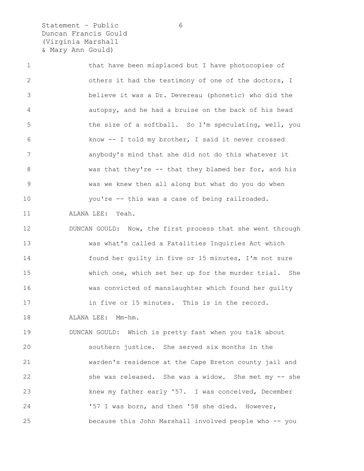Statement - Public 6 Duncan Francis Gould (Virginia Marshall & Mary Ann Gould)

1 that have been misplaced but I have photocopies of 2 others it had the testimony of one of the doctors, I 3 believe it was a Dr. Devereau (phonetic) who did the 4 autopsy, and he had a bruise on the back of his head 5 the size of a softball. So I'm speculating, well, you 6 know -- I told my brother, I said it never crossed 7 anybody's mind that she did not do this whatever it 8 was that they're -- that they blamed her for, and his 9 was we knew then all along but what do you do when 10 you're -- this was a case of being railroaded.

11 ALANA LEE: Yeah.

12 DUNCAN GOULD: Now, the first process that she went through 13 was what's called a Fatalities Inquiries Act which 14 found her guilty in five or 15 minutes, I'm not sure 15 which one, which set her up for the murder trial. She 16 was convicted of manslaughter which found her guilty 17 in five or 15 minutes. This is in the record.

18 ALANA LEE: Mm-hm.

19 DUNCAN GOULD: Which is pretty fast when you talk about 20 southern justice. She served six months in the 21 warden's residence at the Cape Breton county jail and 22 she was released. She was a widow. She met my -- she 23 knew my father early '57. I was conceived, December 24 '57 I was born, and then '58 she died. However, 25 because this John Marshall involved people who -- you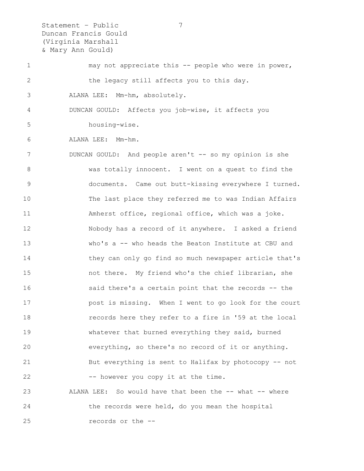Statement – Public 7 Duncan Francis Gould (Virginia Marshall & Mary Ann Gould)

1 may not appreciate this -- people who were in power, 2 the legacy still affects you to this day.

3 ALANA LEE: Mm-hm, absolutely.

4 DUNCAN GOULD: Affects you job-wise, it affects you 5 housing-wise.

6 ALANA LEE: Mm-hm.

7 DUNCAN GOULD: And people aren't -- so my opinion is she 8 was totally innocent. I went on a quest to find the 9 documents. Came out butt-kissing everywhere I turned. 10 The last place they referred me to was Indian Affairs 11 Amherst office, regional office, which was a joke. 12 Nobody has a record of it anywhere. I asked a friend 13 who's a -- who heads the Beaton Institute at CBU and 14 they can only go find so much newspaper article that's 15 not there. My friend who's the chief librarian, she 16 said there's a certain point that the records -- the 17 post is missing. When I went to go look for the court 18 records here they refer to a fire in '59 at the local 19 whatever that burned everything they said, burned 20 everything, so there's no record of it or anything. 21 But everything is sent to Halifax by photocopy -- not 22 -- however you copy it at the time. 23 ALANA LEE: So would have that been the -- what -- where 24 the records were held, do you mean the hospital

25 records or the --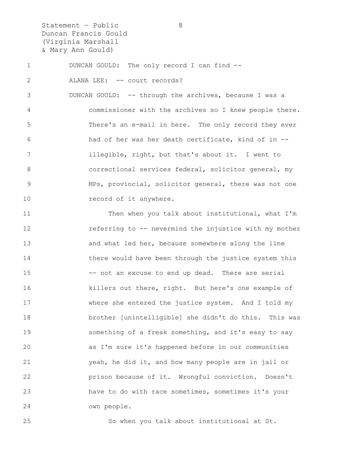Statement - Public 8 Duncan Francis Gould (Virginia Marshall & Mary Ann Gould)

1 DUNCAN GOULD: The only record I can find --

2 ALANA LEE: -- court records?

3 DUNCAN GOULD: -- through the archives, because I was a 4 commissioner with the archives so I knew people there. 5 There's an e-mail in here. The only record they ever 6 had of her was her death certificate, kind of in -- 7 illegible, right, but that's about it. I went to 8 6 8 correctional services federal, solicitor general, my 9 MPs, provincial, solicitor general, there was not one 10 record of it anywhere.

11 Then when you talk about institutional, what I'm 12 referring to -- nevermind the injustice with my mother 13 and what led her, because somewhere along the line 14 there would have been through the justice system this 15 -- not an excuse to end up dead. There are serial 16 killers out there, right. But here's one example of 17 where she entered the justice system. And I told my 18 brother [unintelligible] she didn't do this. This was 19 something of a freak something, and it's easy to say 20 as I'm sure it's happened before in our communities 21 yeah, he did it, and how many people are in jail or 22 prison because of it. Wrongful conviction. Doesn't 23 have to do with race sometimes, sometimes it's your 24 own people.

25 So when you talk about institutional at St.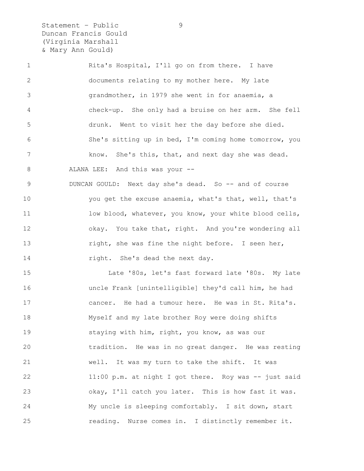Statement – Public 9 Duncan Francis Gould (Virginia Marshall & Mary Ann Gould)

1 Rita's Hospital, I'll go on from there. I have 2 documents relating to my mother here. My late 3 grandmother, in 1979 she went in for anaemia, a 4 check-up. She only had a bruise on her arm. She fell 5 drunk. Went to visit her the day before she died. 6 She's sitting up in bed, I'm coming home tomorrow, you 7 know. She's this, that, and next day she was dead. 8 ALANA LEE: And this was your --9 DUNCAN GOULD: Next day she's dead. So -- and of course 10 you get the excuse anaemia, what's that, well, that's 11 low blood, whatever, you know, your white blood cells, 12 okay. You take that, right. And you're wondering all 13 **right, she was fine the night before.** I seen her, 14 right. She's dead the next day. 15 Late '80s, let's fast forward late '80s. My late 16 uncle Frank [unintelligible] they'd call him, he had 17 cancer. He had a tumour here. He was in St. Rita's. 18 Myself and my late brother Roy were doing shifts 19 staying with him, right, you know, as was our 20 tradition. He was in no great danger. He was resting 21 well. It was my turn to take the shift. It was

22 11:00 p.m. at night I got there. Roy was -- just said 23 okay, I'll catch you later. This is how fast it was. 24 My uncle is sleeping comfortably. I sit down, start 25 reading. Nurse comes in. I distinctly remember it.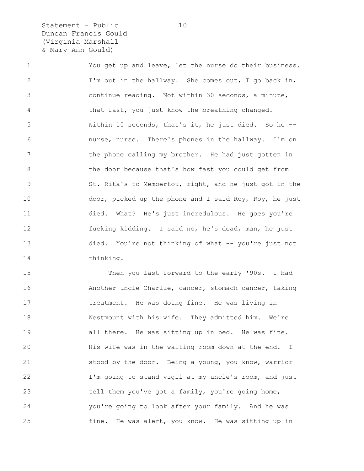Statement - Public 10 Duncan Francis Gould (Virginia Marshall & Mary Ann Gould)

1 You get up and leave, let the nurse do their business. 2 I'm out in the hallway. She comes out, I go back in, 3 continue reading. Not within 30 seconds, a minute, 4 that fast, you just know the breathing changed. 5 Within 10 seconds, that's it, he just died. So he -- 6 nurse, nurse. There's phones in the hallway. I'm on 7 the phone calling my brother. He had just gotten in 8 the door because that's how fast you could get from 9 St. Rita's to Membertou, right, and he just got in the 10 door, picked up the phone and I said Roy, Roy, he just 11 died. What? He's just incredulous. He goes you're 12 fucking kidding. I said no, he's dead, man, he just 13 died. You're not thinking of what -- you're just not 14 thinking.

15 Then you fast forward to the early '90s. I had 16 Another uncle Charlie, cancer, stomach cancer, taking 17 treatment. He was doing fine. He was living in 18 Westmount with his wife. They admitted him. We're 19 all there. He was sitting up in bed. He was fine. 20 His wife was in the waiting room down at the end. I 21 stood by the door. Being a young, you know, warrior 22 I'm going to stand vigil at my uncle's room, and just 23 tell them you've got a family, you're going home, 24 you're going to look after your family. And he was 25 fine. He was alert, you know. He was sitting up in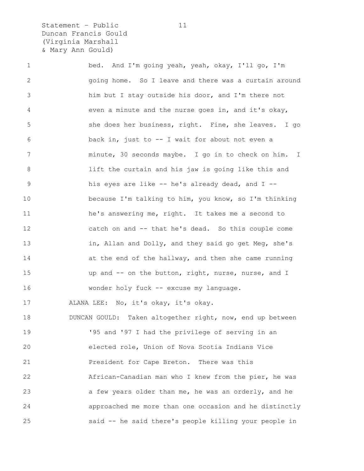Statement - Public 11 Duncan Francis Gould (Virginia Marshall & Mary Ann Gould)

1 bed. And I'm going yeah, yeah, okay, I'll go, I'm 2 going home. So I leave and there was a curtain around 3 him but I stay outside his door, and I'm there not 4 even a minute and the nurse goes in, and it's okay, 5 she does her business, right. Fine, she leaves. I go 6 back in, just to -- I wait for about not even a 7 minute, 30 seconds maybe. I go in to check on him. I 8 lift the curtain and his jaw is going like this and 9 his eyes are like -- he's already dead, and I -- 10 because I'm talking to him, you know, so I'm thinking 11 he's answering me, right. It takes me a second to 12 catch on and -- that he's dead. So this couple come 13 in, Allan and Dolly, and they said go get Meg, she's 14 at the end of the hallway, and then she came running 15 up and -- on the button, right, nurse, nurse, and I 16 wonder holy fuck -- excuse my language. 17 ALANA LEE: No, it's okay, it's okay. 18 DUNCAN GOULD: Taken altogether right, now, end up between 19 **195 and '97 I had the privilege of serving in an** 20 elected role, Union of Nova Scotia Indians Vice 21 President for Cape Breton. There was this 22 African-Canadian man who I knew from the pier, he was 23 a few years older than me, he was an orderly, and he 24 approached me more than one occasion and he distinctly

25 said -- he said there's people killing your people in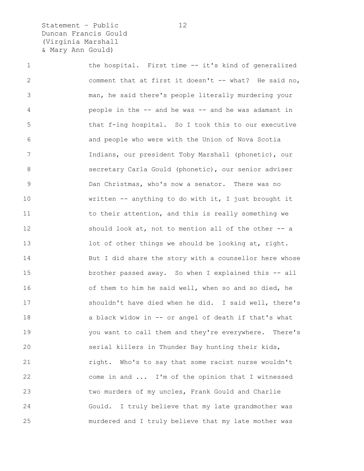Statement - Public 12 Duncan Francis Gould (Virginia Marshall & Mary Ann Gould)

1 the hospital. First time -- it's kind of generalized 2 comment that at first it doesn't -- what? He said no, 3 man, he said there's people literally murdering your 4 people in the -- and he was -- and he was adamant in 5 that f-ing hospital. So I took this to our executive 6 and people who were with the Union of Nova Scotia 7 Indians, our president Toby Marshall (phonetic), our 8 secretary Carla Gould (phonetic), our senior adviser 9 Dan Christmas, who's now a senator. There was no 10 written -- anything to do with it, I just brought it 11 to their attention, and this is really something we 12 should look at, not to mention all of the other -- a 13 lot of other things we should be looking at, right. 14 But I did share the story with a counsellor here whose 15 brother passed away. So when I explained this -- all 16 of them to him he said well, when so and so died, he 17 shouldn't have died when he did. I said well, there's 18 a black widow in -- or angel of death if that's what 19 you want to call them and they're everywhere. There's 20 serial killers in Thunder Bay hunting their kids, 21 right. Who's to say that some racist nurse wouldn't 22 come in and ... I'm of the opinion that I witnessed 23 two murders of my uncles, Frank Gould and Charlie 24 Gould. I truly believe that my late grandmother was 25 murdered and I truly believe that my late mother was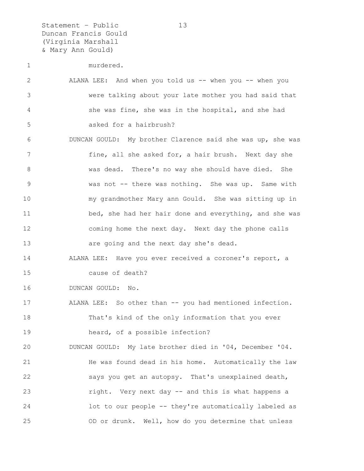Statement – Public 13 Duncan Francis Gould (Virginia Marshall & Mary Ann Gould)

| $\mathbf{2}$   | ALANA LEE: And when you told us -- when you -- when you    |
|----------------|------------------------------------------------------------|
| $\mathcal{S}$  | were talking about your late mother you had said that      |
| 4              | she was fine, she was in the hospital, and she had         |
| 5              | asked for a hairbrush?                                     |
| 6              | DUNCAN GOULD: My brother Clarence said she was up, she was |
| $\overline{7}$ | fine, all she asked for, a hair brush. Next day she        |
| $8\,$          | was dead. There's no way she should have died. She         |
| $\mathcal{G}$  | was not -- there was nothing. She was up. Same with        |
| 10             | my grandmother Mary ann Gould. She was sitting up in       |
| 11             | bed, she had her hair done and everything, and she was     |
| 12             | coming home the next day. Next day the phone calls         |
| 13             | are going and the next day she's dead.                     |
| 14             | ALANA LEE: Have you ever received a coroner's report, a    |
| 15             | cause of death?                                            |
| 16             | DUNCAN GOULD: No.                                          |
| 17             | ALANA LEE: So other than -- you had mentioned infection.   |
| 18             | That's kind of the only information that you ever          |
| 19             | heard, of a possible infection?                            |
| 20             | DUNCAN GOULD: My late brother died in '04, December '04.   |
| 21             | He was found dead in his home. Automatically the law       |
| 22             | says you get an autopsy. That's unexplained death,         |
| 23             | right. Very next day -- and this is what happens a         |
| 24             | lot to our people -- they're automatically labeled as      |
| 25             | OD or drunk. Well, how do you determine that unless        |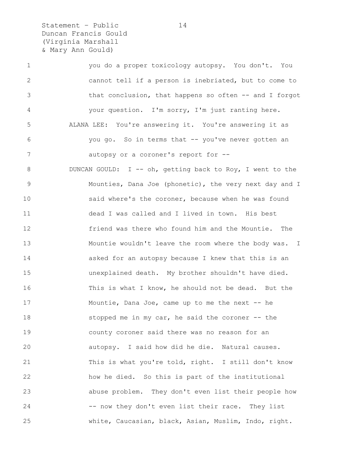Statement – Public 14 Duncan Francis Gould (Virginia Marshall & Mary Ann Gould)

1 you do a proper toxicology autopsy. You don't. You 2 cannot tell if a person is inebriated, but to come to 3 that conclusion, that happens so often -- and I forgot 4 your question. I'm sorry, I'm just ranting here. 5 ALANA LEE: You're answering it. You're answering it as 6 you go. So in terms that -- you've never gotten an 7 autopsy or a coroner's report for --8 DUNCAN GOULD: I -- oh, getting back to Roy, I went to the 9 Mounties, Dana Joe (phonetic), the very next day and I 10 said where's the coroner, because when he was found 11 dead I was called and I lived in town. His best 12 friend was there who found him and the Mountie. The 13 Mountie wouldn't leave the room where the body was. I 14 asked for an autopsy because I knew that this is an 15 unexplained death. My brother shouldn't have died. 16 This is what I know, he should not be dead. But the 17 Mountie, Dana Joe, came up to me the next -- he 18 stopped me in my car, he said the coroner -- the 19 county coroner said there was no reason for an 20 autopsy. I said how did he die. Natural causes. 21 This is what you're told, right. I still don't know 22 how he died. So this is part of the institutional 23 abuse problem. They don't even list their people how 24 -- now they don't even list their race. They list 25 white, Caucasian, black, Asian, Muslim, Indo, right.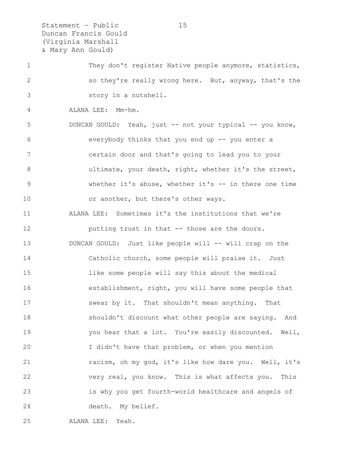Statement – Public 15 Duncan Francis Gould (Virginia Marshall & Mary Ann Gould)

1 They don't register Native people anymore, statistics, 2 so they're really wrong here. But, anyway, that's the 3 story in a nutshell.

4 ALANA LEE: Mm-hm.

5 DUNCAN GOULD: Yeah, just -- not your typical -- you know, 6 everybody thinks that you end up -- you enter a 7 certain door and that's going to lead you to your 8 ultimate, your death, right, whether it's the street, 9 whether it's abuse, whether it's -- in there one time 10 or another, but there's other ways.

11 ALANA LEE: Sometimes it's the institutions that we're 12 **putting trust in that -- those are the doors.** 13 DUNCAN GOULD: Just like people will -- will crap on the 14 Catholic church, some people will praise it. Just 15 like some people will say this about the medical 16 establishment, right, you will have some people that 17 swear by it. That shouldn't mean anything. That 18 shouldn't discount what other people are saying. And 19 you hear that a lot. You're easily discounted. Well, 20 I didn't have that problem, or when you mention 21 racism, oh my god, it's like how dare you. Well, it's 22 very real, you know. This is what affects you. This 23 is why you get fourth-world healthcare and angels of 24 death. My belief.

25 ALANA LEE: Yeah.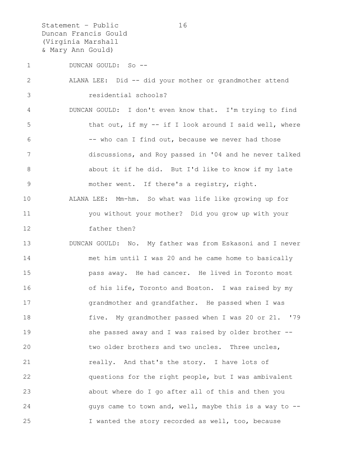Statement – Public 16 Duncan Francis Gould (Virginia Marshall & Mary Ann Gould)

1 DUNCAN GOULD: So --

2 ALANA LEE: Did -- did your mother or grandmother attend 3 residential schools? 4 DUNCAN GOULD: I don't even know that. I'm trying to find

5 that out, if my -- if I look around I said well, where 6 -- who can I find out, because we never had those 7 discussions, and Roy passed in '04 and he never talked 8 about it if he did. But I'd like to know if my late 9 mother went. If there's a registry, right. 10 ALANA LEE: Mm-hm. So what was life like growing up for 11 you without your mother? Did you grow up with your 12 father then?

13 DUNCAN GOULD: No. My father was from Eskasoni and I never 14 met him until I was 20 and he came home to basically 15 pass away. He had cancer. He lived in Toronto most 16 of his life, Toronto and Boston. I was raised by my 17 grandmother and grandfather. He passed when I was 18 five. My grandmother passed when I was 20 or 21. '79 19 She passed away and I was raised by older brother --20 two older brothers and two uncles. Three uncles, 21 really. And that's the story. I have lots of 22 questions for the right people, but I was ambivalent 23 about where do I go after all of this and then you 24 guys came to town and, well, maybe this is a way to --25 I wanted the story recorded as well, too, because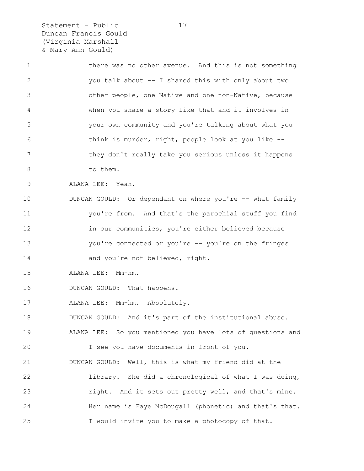Statement – Public 17 Duncan Francis Gould (Virginia Marshall & Mary Ann Gould)

1 there was no other avenue. And this is not something 2 you talk about -- I shared this with only about two 3 other people, one Native and one non-Native, because 4 when you share a story like that and it involves in 5 your own community and you're talking about what you 6 think is murder, right, people look at you like -- 7 they don't really take you serious unless it happens 8 to them. 9 ALANA LEE: Yeah. 10 DUNCAN GOULD: Or dependant on where you're -- what family 11 you're from. And that's the parochial stuff you find 12 in our communities, you're either believed because 13 you're connected or you're -- you're on the fringes 14 and you're not believed, right. 15 ALANA LEE: Mm-hm.

16 DUNCAN GOULD: That happens.

17 ALANA LEE: Mm-hm. Absolutely.

18 DUNCAN GOULD: And it's part of the institutional abuse.

19 ALANA LEE: So you mentioned you have lots of questions and 20 I see you have documents in front of you.

21 DUNCAN GOULD: Well, this is what my friend did at the 22 library. She did a chronological of what I was doing, 23 right. And it sets out pretty well, and that's mine. 24 Her name is Faye McDougall (phonetic) and that's that. 25 I would invite you to make a photocopy of that.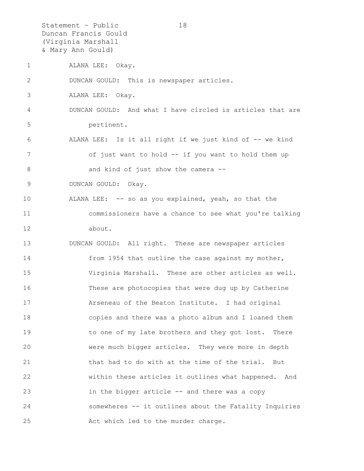Statement – Public 18 Duncan Francis Gould (Virginia Marshall & Mary Ann Gould)

1 ALANA LEE: Okay.

2 DUNCAN GOULD: This is newspaper articles.

3 ALANA LEE: Okay.

- 4 DUNCAN GOULD: And what I have circled is articles that are 5 pertinent.
- 6 ALANA LEE: Is it all right if we just kind of -- we kind 7 of just want to hold -- if you want to hold them up 8 and kind of just show the camera --

9 DUNCAN GOULD: Okay.

10 ALANA LEE: -- so as you explained, yeah, so that the 11 commissioners have a chance to see what you're talking 12 about.

13 DUNCAN GOULD: All right. These are newspaper articles 14 from 1954 that outline the case against my mother, 15 Virginia Marshall. These are other articles as well. 16 These are photocopies that were dug up by Catherine 17 Arseneau of the Beaton Institute. I had original 18 copies and there was a photo album and I loaned them 19 to one of my late brothers and they got lost. There 20 were much bigger articles. They were more in depth 21 that had to do with at the time of the trial. But 22 within these articles it outlines what happened. And 23 in the bigger article -- and there was a copy 24 somewheres -- it outlines about the Fatality Inquiries 25 Act which led to the murder charge.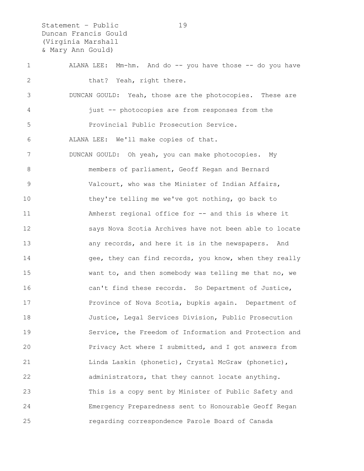Statement – Public 19 Duncan Francis Gould (Virginia Marshall & Mary Ann Gould)

1 ALANA LEE: Mm-hm. And do -- you have those -- do you have 2 that? Yeah, right there. 3 DUNCAN GOULD: Yeah, those are the photocopies. These are 4 just -- photocopies are from responses from the 5 Provincial Public Prosecution Service. 6 ALANA LEE: We'll make copies of that. 7 DUNCAN GOULD: Oh yeah, you can make photocopies. My 8 members of parliament, Geoff Regan and Bernard 9 Valcourt, who was the Minister of Indian Affairs, 10 they're telling me we've got nothing, go back to 11 Amherst regional office for -- and this is where it 12 says Nova Scotia Archives have not been able to locate 13 any records, and here it is in the newspapers. And 14 gee, they can find records, you know, when they really 15 want to, and then somebody was telling me that no, we 16 can't find these records. So Department of Justice, 17 Province of Nova Scotia, bupkis again. Department of 18 Justice, Legal Services Division, Public Prosecution 19 Service, the Freedom of Information and Protection and 20 Privacy Act where I submitted, and I got answers from 21 Linda Laskin (phonetic), Crystal McGraw (phonetic), 22 administrators, that they cannot locate anything. 23 This is a copy sent by Minister of Public Safety and 24 Emergency Preparedness sent to Honourable Geoff Regan 25 regarding correspondence Parole Board of Canada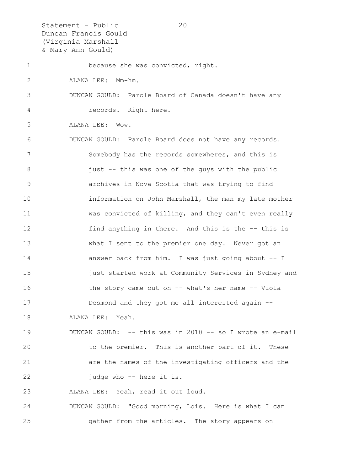Statement – Public 20 Duncan Francis Gould (Virginia Marshall & Mary Ann Gould)

1 because she was convicted, right. 2 ALANA LEE: Mm-hm. 3 DUNCAN GOULD: Parole Board of Canada doesn't have any 4 records. Right here. 5 ALANA LEE: Wow. 6 DUNCAN GOULD: Parole Board does not have any records. 7 Somebody has the records somewheres, and this is 8 just -- this was one of the guys with the public 9 archives in Nova Scotia that was trying to find 10 information on John Marshall, the man my late mother 11 was convicted of killing, and they can't even really 12 find anything in there. And this is the -- this is 13 What I sent to the premier one day. Never got an 14 answer back from him. I was just going about -- I 15 **just started work at Community Services in Sydney and** 16 the story came out on -- what's her name -- Viola 17 Desmond and they got me all interested again -- 18 ALANA LEE: Yeah. 19 DUNCAN GOULD: -- this was in 2010 -- so I wrote an e-mail 20 to the premier. This is another part of it. These 21 are the names of the investigating officers and the 22 judge who -- here it is.

23 ALANA LEE: Yeah, read it out loud.

24 DUNCAN GOULD: "Good morning, Lois. Here is what I can 25 gather from the articles. The story appears on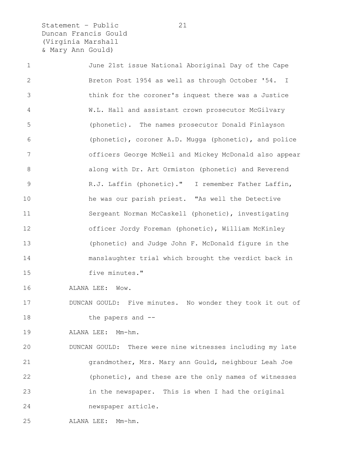Statement – Public 21 Duncan Francis Gould (Virginia Marshall & Mary Ann Gould)

1 June 21st issue National Aboriginal Day of the Cape 2 Breton Post 1954 as well as through October '54. I 3 think for the coroner's inquest there was a Justice 4 W.L. Hall and assistant crown prosecutor McGilvary 5 (phonetic). The names prosecutor Donald Finlayson 6 (phonetic), coroner A.D. Mugga (phonetic), and police 7 officers George McNeil and Mickey McDonald also appear 8 along with Dr. Art Ormiston (phonetic) and Reverend 9 R.J. Laffin (phonetic)." I remember Father Laffin, 10 he was our parish priest. "As well the Detective 11 Sergeant Norman McCaskell (phonetic), investigating 12 officer Jordy Foreman (phonetic), William McKinley 13 (phonetic) and Judge John F. McDonald figure in the 14 manslaughter trial which brought the verdict back in 15 five minutes." 16 ALANA LEE: Wow. 17 DUNCAN GOULD: Five minutes. No wonder they took it out of 18 the papers and --19 ALANA LEE: Mm-hm. 20 DUNCAN GOULD: There were nine witnesses including my late 21 grandmother, Mrs. Mary ann Gould, neighbour Leah Joe 22 (phonetic), and these are the only names of witnesses 23 in the newspaper. This is when I had the original 24 newspaper article.

25 ALANA LEE: Mm-hm.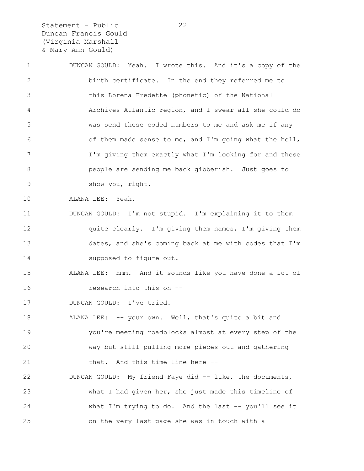Statement – Public 22 Duncan Francis Gould (Virginia Marshall & Mary Ann Gould)

1 DUNCAN GOULD: Yeah. I wrote this. And it's a copy of the 2 birth certificate. In the end they referred me to 3 this Lorena Fredette (phonetic) of the National 4 Archives Atlantic region, and I swear all she could do 5 was send these coded numbers to me and ask me if any 6 of them made sense to me, and I'm going what the hell, 7 I'm giving them exactly what I'm looking for and these 8 people are sending me back gibberish. Just goes to 9 show you, right. 10 ALANA LEE: Yeah. 11 DUNCAN GOULD: I'm not stupid. I'm explaining it to them 12 quite clearly. I'm giving them names, I'm giving them 13 dates, and she's coming back at me with codes that I'm 14 supposed to figure out. 15 ALANA LEE: Hmm. And it sounds like you have done a lot of 16 research into this on -- 17 DUNCAN GOULD: I've tried. 18 ALANA LEE: -- your own. Well, that's quite a bit and 19 you're meeting roadblocks almost at every step of the 20 way but still pulling more pieces out and gathering 21 that. And this time line here --22 DUNCAN GOULD: My friend Faye did -- like, the documents, 23 what I had given her, she just made this timeline of 24 what I'm trying to do. And the last -- you'll see it 25 on the very last page she was in touch with a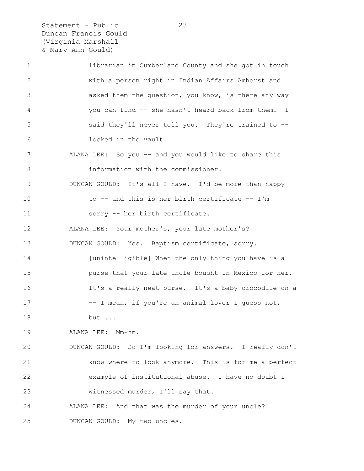Statement – Public 23 Duncan Francis Gould (Virginia Marshall & Mary Ann Gould)

| $\mathbf 1$ | librarian in Cumberland County and she got in touch      |
|-------------|----------------------------------------------------------|
| 2           | with a person right in Indian Affairs Amherst and        |
| 3           | asked them the question, you know, is there any way      |
| 4           | you can find -- she hasn't heard back from them. I       |
| 5           | said they'll never tell you. They're trained to --       |
| 6           | locked in the vault.                                     |
| 7           | ALANA LEE: So you -- and you would like to share this    |
| 8           | information with the commissioner.                       |
| 9           | DUNCAN GOULD: It's all I have. I'd be more than happy    |
| 10          | to -- and this is her birth certificate -- I'm           |
| 11          | sorry -- her birth certificate.                          |
| 12          | ALANA LEE: Your mother's, your late mother's?            |
| 13          | DUNCAN GOULD: Yes. Baptism certificate, sorry.           |
| 14          | [unintelligible] When the only thing you have is a       |
| 15          | purse that your late uncle bought in Mexico for her.     |
| 16          | It's a really neat purse. It's a baby crocodile on a     |
| 17          | -- I mean, if you're an animal lover I guess not,        |
| 18          | but                                                      |
| 19          | ALANA LEE: Mm-hm.                                        |
| 20          | DUNCAN GOULD: So I'm looking for answers. I really don't |
| 21          | know where to look anymore. This is for me a perfect     |
| 22          | example of institutional abuse. I have no doubt I        |
| 23          | witnessed murder, I'll say that.                         |
| 24          | ALANA LEE: And that was the murder of your uncle?        |
| 25          | DUNCAN GOULD: My two uncles.                             |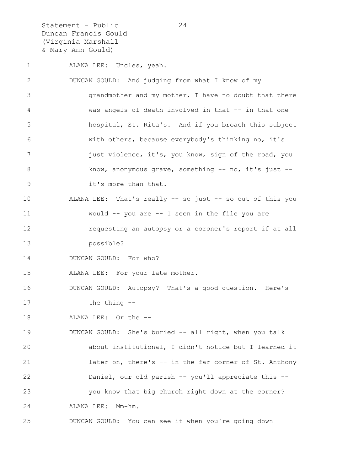Statement – Public 24 Duncan Francis Gould (Virginia Marshall & Mary Ann Gould)

1 ALANA LEE: Uncles, yeah. 2 DUNCAN GOULD: And judging from what I know of my 3 grandmother and my mother, I have no doubt that there 4 was angels of death involved in that -- in that one 5 hospital, St. Rita's. And if you broach this subject 6 with others, because everybody's thinking no, it's 7 **just violence, it's, you know, sign of the road, you** 8 know, anonymous grave, something -- no, it's just --9 it's more than that. 10 ALANA LEE: That's really -- so just -- so out of this you 11 would -- you are -- I seen in the file you are 12 requesting an autopsy or a coroner's report if at all 13 possible? 14 DUNCAN GOULD: For who? 15 ALANA LEE: For your late mother. 16 DUNCAN GOULD: Autopsy? That's a good question. Here's 17 the thing -- 18 ALANA LEE: Or the -- 19 DUNCAN GOULD: She's buried -- all right, when you talk 20 about institutional, I didn't notice but I learned it 21 later on, there's -- in the far corner of St. Anthony 22 Daniel, our old parish -- you'll appreciate this -- 23 you know that big church right down at the corner? 24 ALANA LEE: Mm-hm. 25 DUNCAN GOULD: You can see it when you're going down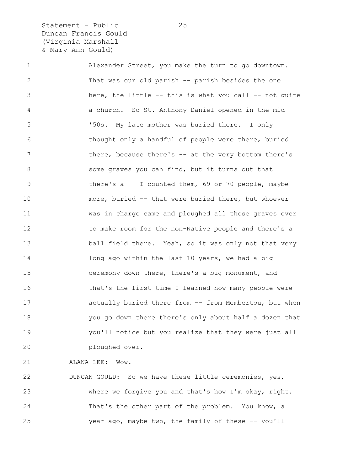Statement - Public 25 Duncan Francis Gould (Virginia Marshall & Mary Ann Gould)

1 Alexander Street, you make the turn to go downtown. 2 That was our old parish -- parish besides the one 3 here, the little -- this is what you call -- not quite 4 a church. So St. Anthony Daniel opened in the mid 5 '50s. My late mother was buried there. I only 6 thought only a handful of people were there, buried 7 there, because there's -- at the very bottom there's 8 some graves you can find, but it turns out that 9 there's a -- I counted them, 69 or 70 people, maybe 10 more, buried -- that were buried there, but whoever 11 was in charge came and ploughed all those graves over 12 to make room for the non-Native people and there's a 13 ball field there. Yeah, so it was only not that very 14 10 long ago within the last 10 years, we had a big 15 ceremony down there, there's a big monument, and 16 that's the first time I learned how many people were 17 **actually buried there from -- from Membertou, but when** 18 you go down there there's only about half a dozen that 19 you'll notice but you realize that they were just all 20 ploughed over.

21 ALANA LEE: Wow.

22 DUNCAN GOULD: So we have these little ceremonies, yes, 23 where we forgive you and that's how I'm okay, right. 24 That's the other part of the problem. You know, a 25 year ago, maybe two, the family of these -- you'll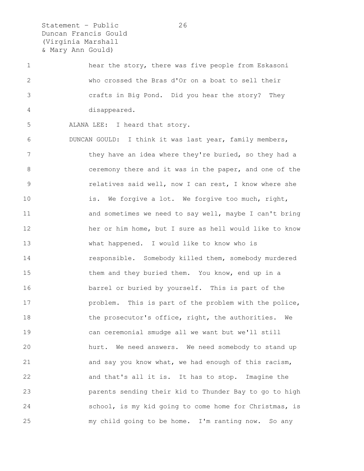Statement – Public 26 Duncan Francis Gould (Virginia Marshall & Mary Ann Gould)

1 hear the story, there was five people from Eskasoni 2 who crossed the Bras d'Or on a boat to sell their 3 crafts in Big Pond. Did you hear the story? They 4 disappeared.

5 ALANA LEE: I heard that story.

6 DUNCAN GOULD: I think it was last year, family members, 7 they have an idea where they're buried, so they had a 8 ceremony there and it was in the paper, and one of the 9 relatives said well, now I can rest, I know where she 10 is. We forgive a lot. We forgive too much, right, 11 and sometimes we need to say well, maybe I can't bring 12 her or him home, but I sure as hell would like to know 13 what happened. I would like to know who is 14 responsible. Somebody killed them, somebody murdered 15 them and they buried them. You know, end up in a 16 barrel or buried by yourself. This is part of the 17 problem. This is part of the problem with the police, 18 the prosecutor's office, right, the authorities. We 19 can ceremonial smudge all we want but we'll still 20 hurt. We need answers. We need somebody to stand up 21 and say you know what, we had enough of this racism, 22 and that's all it is. It has to stop. Imagine the 23 parents sending their kid to Thunder Bay to go to high 24 school, is my kid going to come home for Christmas, is 25 my child going to be home. I'm ranting now. So any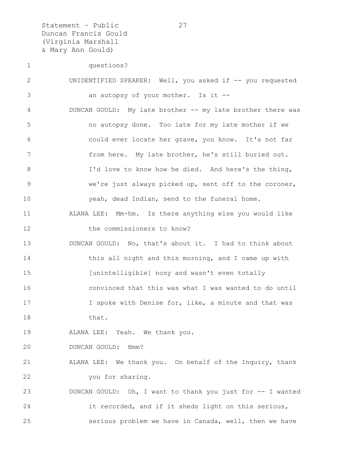Statement - Public 27 Duncan Francis Gould (Virginia Marshall & Mary Ann Gould)

| 1  | questions?                                                 |
|----|------------------------------------------------------------|
| 2  | UNIDENTIFIED SPEAKER: Well, you asked if -- you requested  |
| 3  | an autopsy of your mother. Is it --                        |
| 4  | DUNCAN GOULD: My late brother -- my late brother there was |
| 5  | no autopsy done. Too late for my late mother if we         |
| 6  | could ever locate her grave, you know. It's not far        |
| 7  | from here. My late brother, he's still buried out.         |
| 8  | I'd love to know how he died. And here's the thing,        |
| 9  | we're just always picked up, sent off to the coroner,      |
| 10 | yeah, dead Indian, send to the funeral home.               |
| 11 | ALANA LEE: Mm-hm. Is there anything else you would like    |
| 12 | the commissioners to know?                                 |
| 13 | DUNCAN GOULD: No, that's about it. I had to think about    |
| 14 | this all night and this morning, and I came up with        |
| 15 | [unintelligible] nosy and wasn't even totally              |
| 16 | convinced that this was what I was wanted to do until      |
| 17 | I spoke with Denise for, like, a minute and that was       |
| 18 | that.                                                      |
| 19 | ALANA LEE: Yeah. We thank you.                             |
| 20 | DUNCAN GOULD:<br>Hmm?                                      |
| 21 | ALANA LEE: We thank you. On behalf of the Inquiry, thank   |
| 22 | you for sharing.                                           |
| 23 | DUNCAN GOULD: Oh, I want to thank you just for -- I wanted |
| 24 | it recorded, and if it sheds light on this serious,        |
| 25 | serious problem we have in Canada, well, then we have      |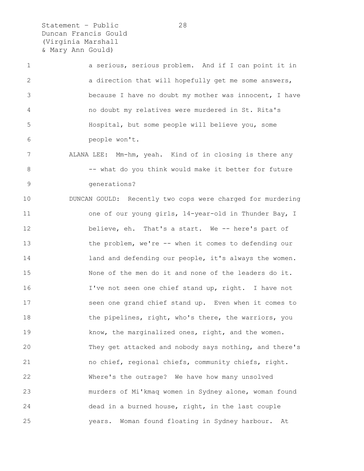Statement - Public 28 Duncan Francis Gould (Virginia Marshall & Mary Ann Gould)

1 a serious, serious problem. And if I can point it in 2 a direction that will hopefully get me some answers, 3 because I have no doubt my mother was innocent, I have 4 no doubt my relatives were murdered in St. Rita's 5 Hospital, but some people will believe you, some 6 people won't.

7 ALANA LEE: Mm-hm, yeah. Kind of in closing is there any 8 -- what do you think would make it better for future 9 generations?

10 DUNCAN GOULD: Recently two cops were charged for murdering 11 one of our young girls, 14-year-old in Thunder Bay, I 12 believe, eh. That's a start. We -- here's part of 13 the problem, we're -- when it comes to defending our 14 land and defending our people, it's always the women. 15 None of the men do it and none of the leaders do it. 16 I've not seen one chief stand up, right. I have not 17 seen one grand chief stand up. Even when it comes to 18 the pipelines, right, who's there, the warriors, you 19 know, the marginalized ones, right, and the women. 20 They get attacked and nobody says nothing, and there's 21 no chief, regional chiefs, community chiefs, right. 22 Where's the outrage? We have how many unsolved 23 murders of Mi'kmaq women in Sydney alone, woman found 24 dead in a burned house, right, in the last couple 25 years. Woman found floating in Sydney harbour. At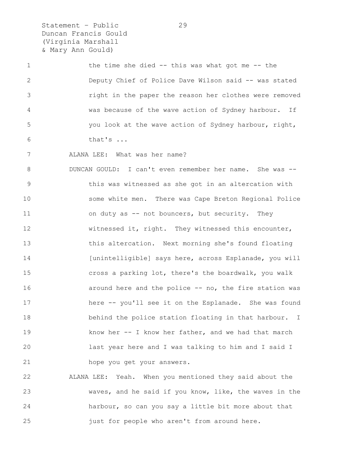Statement – Public 29 Duncan Francis Gould (Virginia Marshall & Mary Ann Gould)

1 the time she died -- this was what got me -- the 2 Deputy Chief of Police Dave Wilson said -- was stated 3 right in the paper the reason her clothes were removed 4 was because of the wave action of Sydney harbour. If 5 you look at the wave action of Sydney harbour, right, 6 that's ...

7 ALANA LEE: What was her name?

8 DUNCAN GOULD: I can't even remember her name. She was -- 9 this was witnessed as she got in an altercation with 10 some white men. There was Cape Breton Regional Police 11 on duty as -- not bouncers, but security. They 12 witnessed it, right. They witnessed this encounter, 13 this altercation. Next morning she's found floating 14 [unintelligible] says here, across Esplanade, you will 15 cross a parking lot, there's the boardwalk, you walk 16 **around here and the police -- no, the fire station was** 17 here -- you'll see it on the Esplanade. She was found 18 behind the police station floating in that harbour. I 19 know her -- I know her father, and we had that march 20 last year here and I was talking to him and I said I 21 hope you get your answers.

22 ALANA LEE: Yeah. When you mentioned they said about the 23 waves, and he said if you know, like, the waves in the 24 harbour, so can you say a little bit more about that 25 just for people who aren't from around here.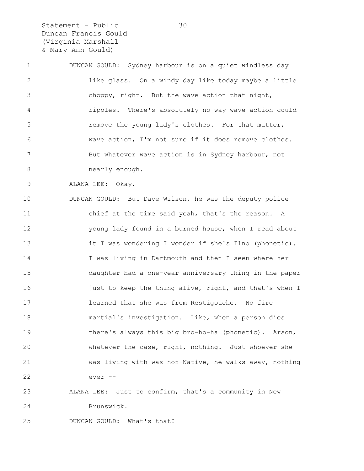Statement – Public 30 Duncan Francis Gould (Virginia Marshall & Mary Ann Gould)

1 DUNCAN GOULD: Sydney harbour is on a quiet windless day 2 like glass. On a windy day like today maybe a little 3 choppy, right. But the wave action that night, 4 ripples. There's absolutely no way wave action could 5 **remove the young lady's clothes.** For that matter, 6 wave action, I'm not sure if it does remove clothes. 7 But whatever wave action is in Sydney harbour, not 8 nearly enough.

9 ALANA LEE: Okay.

10 DUNCAN GOULD: But Dave Wilson, he was the deputy police 11 chief at the time said yeah, that's the reason. A 12 young lady found in a burned house, when I read about 13 it I was wondering I wonder if she's Ilno (phonetic). 14 I was living in Dartmouth and then I seen where her 15 daughter had a one-year anniversary thing in the paper 16 just to keep the thing alive, right, and that's when I 17 learned that she was from Restigouche. No fire 18 martial's investigation. Like, when a person dies 19 there's always this big bro-ho-ha (phonetic). Arson, 20 whatever the case, right, nothing. Just whoever she 21 was living with was non-Native, he walks away, nothing 22 ever --

## 23 ALANA LEE: Just to confirm, that's a community in New 24 Brunswick.

25 DUNCAN GOULD: What's that?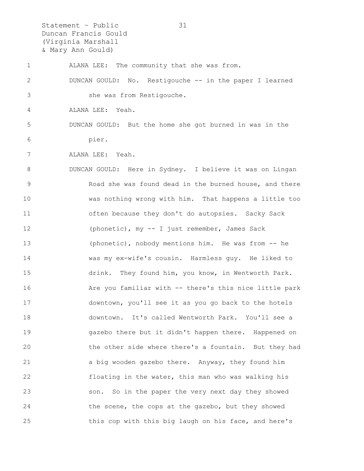Statement – Public 31 Duncan Francis Gould (Virginia Marshall & Mary Ann Gould)

1 ALANA LEE: The community that she was from. 2 DUNCAN GOULD: No. Restigouche -- in the paper I learned 3 she was from Restigouche. 4 ALANA LEE: Yeah. 5 DUNCAN GOULD: But the home she got burned in was in the 6 pier. 7 ALANA LEE: Yeah. 8 DUNCAN GOULD: Here in Sydney. I believe it was on Lingan 9 Road she was found dead in the burned house, and there 10 was nothing wrong with him. That happens a little too 11 often because they don't do autopsies. Sacky Sack 12 (phonetic), my -- I just remember, James Sack 13 (phonetic), nobody mentions him. He was from -- he 14 was my ex-wife's cousin. Harmless guy. He liked to 15 drink. They found him, you know, in Wentworth Park. 16 Are you familiar with -- there's this nice little park 17 downtown, you'll see it as you go back to the hotels 18 downtown. It's called Wentworth Park. You'll see a 19 gazebo there but it didn't happen there. Happened on 20 the other side where there's a fountain. But they had 21 a big wooden gazebo there. Anyway, they found him 22 floating in the water, this man who was walking his 23 son. So in the paper the very next day they showed 24 the scene, the cops at the gazebo, but they showed 25 this cop with this big laugh on his face, and here's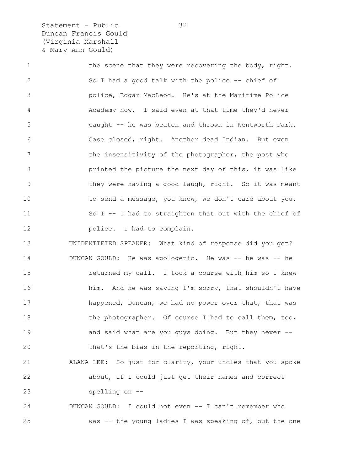Statement - Public 32 Duncan Francis Gould (Virginia Marshall & Mary Ann Gould)

1 the scene that they were recovering the body, right. 2 So I had a good talk with the police -- chief of 3 police, Edgar MacLeod. He's at the Maritime Police 4 Academy now. I said even at that time they'd never 5 caught -- he was beaten and thrown in Wentworth Park. 6 Case closed, right. Another dead Indian. But even 7 the insensitivity of the photographer, the post who 8 printed the picture the next day of this, it was like 9 they were having a good laugh, right. So it was meant 10 to send a message, you know, we don't care about you. 11 So I -- I had to straighten that out with the chief of 12 **police.** I had to complain. 13 UNIDENTIFIED SPEAKER: What kind of response did you get? 14 DUNCAN GOULD: He was apologetic. He was -- he was -- he 15 returned my call. I took a course with him so I knew 16 him. And he was saying I'm sorry, that shouldn't have 17 happened, Duncan, we had no power over that, that was 18 the photographer. Of course I had to call them, too, 19 **and said what are you guys doing.** But they never --20 that's the bias in the reporting, right. 21 ALANA LEE: So just for clarity, your uncles that you spoke 22 about, if I could just get their names and correct 23 spelling on -- 24 DUNCAN GOULD: I could not even -- I can't remember who 25 was -- the young ladies I was speaking of, but the one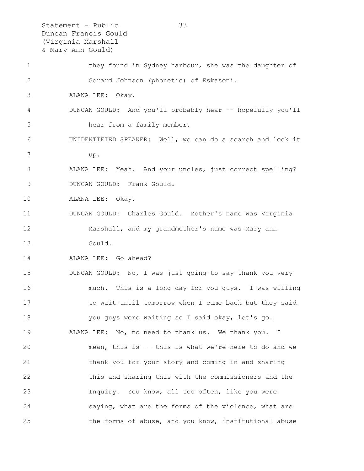Statement – Public 33 Duncan Francis Gould (Virginia Marshall & Mary Ann Gould) 1 they found in Sydney harbour, she was the daughter of 2 Gerard Johnson (phonetic) of Eskasoni. 3 ALANA LEE: Okay. 4 DUNCAN GOULD: And you'll probably hear -- hopefully you'll 5 hear from a family member. 6 UNIDENTIFIED SPEAKER: Well, we can do a search and look it 7 up. 8 ALANA LEE: Yeah. And your uncles, just correct spelling? 9 DUNCAN GOULD: Frank Gould. 10 ALANA LEE: Okay. 11 DUNCAN GOULD: Charles Gould. Mother's name was Virginia 12 Marshall, and my grandmother's name was Mary ann 13 Gould. 14 ALANA LEE: Go ahead? 15 DUNCAN GOULD: No, I was just going to say thank you very 16 much. This is a long day for you guys. I was willing 17 to wait until tomorrow when I came back but they said 18 you guys were waiting so I said okay, let's go. 19 ALANA LEE: No, no need to thank us. We thank you. I 20 mean, this is -- this is what we're here to do and we 21 thank you for your story and coming in and sharing 22 this and sharing this with the commissioners and the 23 Inquiry. You know, all too often, like you were 24 saying, what are the forms of the violence, what are 25 the forms of abuse, and you know, institutional abuse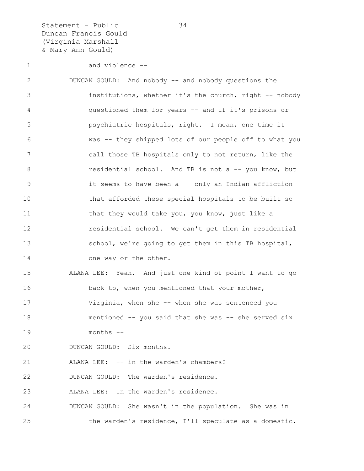Statement – Public 34 Duncan Francis Gould (Virginia Marshall & Mary Ann Gould)

```
1 and violence --
```
2 DUNCAN GOULD: And nobody -- and nobody questions the 3 institutions, whether it's the church, right -- nobody 4 questioned them for years -- and if it's prisons or 5 psychiatric hospitals, right. I mean, one time it 6 was -- they shipped lots of our people off to what you 7 call those TB hospitals only to not return, like the 8 **8** residential school. And TB is not a -- you know, but 9 it seems to have been a -- only an Indian affliction 10 that afforded these special hospitals to be built so 11 that they would take you, you know, just like a 12 residential school. We can't get them in residential 13 school, we're going to get them in this TB hospital, 14 one way or the other. 15 ALANA LEE: Yeah. And just one kind of point I want to go 16 back to, when you mentioned that your mother, 17 Virginia, when she -- when she was sentenced you 18 mentioned -- you said that she was -- she served six 19 months -- 20 DUNCAN GOULD: Six months. 21 ALANA LEE: -- in the warden's chambers? 22 DUNCAN GOULD: The warden's residence. 23 ALANA LEE: In the warden's residence. 24 DUNCAN GOULD: She wasn't in the population. She was in

25 the warden's residence, I'll speculate as a domestic.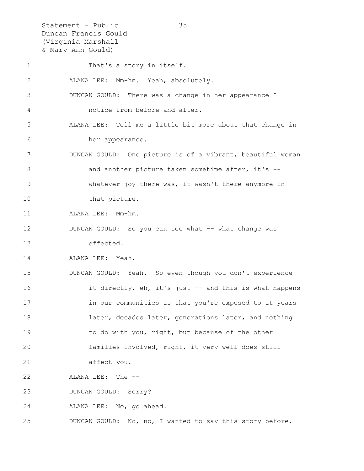Statement – Public 35 Duncan Francis Gould (Virginia Marshall & Mary Ann Gould) 1 That's a story in itself. 2 ALANA LEE: Mm-hm. Yeah, absolutely. 3 DUNCAN GOULD: There was a change in her appearance I 4 notice from before and after. 5 ALANA LEE: Tell me a little bit more about that change in 6 her appearance. 7 DUNCAN GOULD: One picture is of a vibrant, beautiful woman 8 and another picture taken sometime after, it's --9 whatever joy there was, it wasn't there anymore in 10 that picture. 11 ALANA LEE: Mm-hm. 12 DUNCAN GOULD: So you can see what -- what change was 13 effected. 14 ALANA LEE: Yeah. 15 DUNCAN GOULD: Yeah. So even though you don't experience 16 it directly, eh, it's just -- and this is what happens 17 in our communities is that you're exposed to it years 18 **later, decades later, generations later, and nothing** 19 to do with you, right, but because of the other 20 families involved, right, it very well does still 21 affect you. 22 ALANA LEE: The -- 23 DUNCAN GOULD: Sorry? 24 ALANA LEE: No, go ahead. 25 DUNCAN GOULD: No, no, I wanted to say this story before,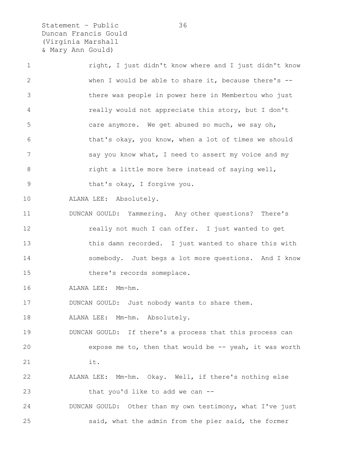Statement – Public 36 Duncan Francis Gould (Virginia Marshall & Mary Ann Gould)

| $\mathbf 1$  | right, I just didn't know where and I just didn't know    |
|--------------|-----------------------------------------------------------|
| $\mathbf{2}$ | when I would be able to share it, because there's --      |
| 3            | there was people in power here in Membertou who just      |
| 4            | really would not appreciate this story, but I don't       |
| 5            | care anymore. We get abused so much, we say oh,           |
| 6            | that's okay, you know, when a lot of times we should      |
| 7            | say you know what, I need to assert my voice and my       |
| 8            | right a little more here instead of saying well,          |
| $\mathsf 9$  | that's okay, I forgive you.                               |
| 10           | ALANA LEE: Absolutely.                                    |
| 11           | DUNCAN GOULD: Yammering. Any other questions? There's     |
| 12           | really not much I can offer. I just wanted to get         |
| 13           | this damn recorded. I just wanted to share this with      |
| 14           | somebody. Just begs a lot more questions. And I know      |
| 15           | there's records someplace.                                |
| 16           | ALANA LEE: Mm-hm.                                         |
| 17           | DUNCAN GOULD: Just nobody wants to share them.            |
| 18           | ALANA LEE: Mm-hm. Absolutely.                             |
| 19           | DUNCAN GOULD: If there's a process that this process can  |
| 20           | expose me to, then that would be $-$ - yeah, it was worth |
| 21           | it.                                                       |
| 22           | ALANA LEE: Mm-hm. Okay. Well, if there's nothing else     |
| 23           | that you'd like to add we can --                          |
| 24           | DUNCAN GOULD: Other than my own testimony, what I've just |
| 25           | said, what the admin from the pier said, the former       |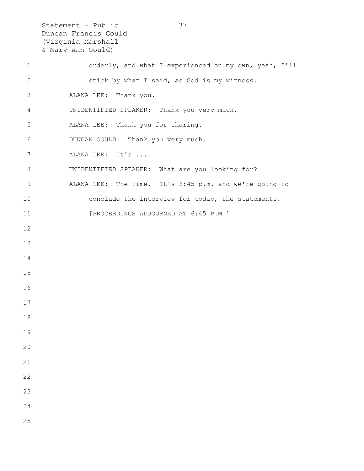Statement – Public 37 Duncan Francis Gould (Virginia Marshall & Mary Ann Gould) 1 orderly, and what I experienced on my own, yeah, I'll 2 stick by what I said, as God is my witness. 3 ALANA LEE: Thank you. 4 UNIDENTIFIED SPEAKER: Thank you very much. 5 ALANA LEE: Thank you for sharing. 6 DUNCAN GOULD: Thank you very much. 7 ALANA LEE: It's ... 8 UNIDENTIFIED SPEAKER: What are you looking for? 9 ALANA LEE: The time. It's 6:45 p.m. and we're going to 10 conclude the interview for today, the statements. 11 [PROCEEDINGS ADJOURNED AT 6:45 P.M.] 12 13 14 15 16 17 18 19 20 21 22 23 24 25